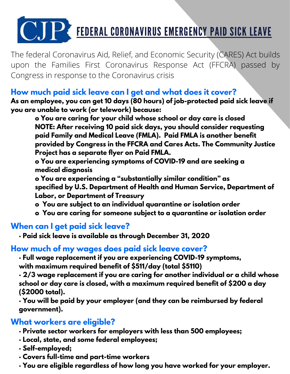# C.JP: FEDERAL CORONAVIRUS EMERGENCY PAID SICK LEAVE

The federal Coronavirus Aid, Relief, and Economic Security (CARES) Act builds upon the Families First Coronavirus Response Act (FFCRA) passed by Congress in response to the Coronavirus crisis

# **How much paid sick leave can I get and what does it cover?**

**As an employee, you can get 10 days (80 hours) of job-protected paid sick leave if you are unable to work (or telework) because:**

**o You are caring for your child whose school or day care is closed NOTE: After receiving 10 paid sick days, you should consider requesting paid Family and Medical Leave (FMLA). Paid FMLA is another benefit provided by Congress in the FFCRA and Cares Acts. The Community Justice Project has a separate flyer on Paid FMLA.**

**o You are experiencing symptoms of COVID-19 and are seeking a medical diagnosis**

**o You are experiencing a "substantially similar condition" as specified by U.S. Department of Health and Human Service, Department of Labor, or Department of Treasury**

- **o You are subject to an individual quarantine or isolation order**
- **o You are caring for someone subject to a quarantine or isolation order**

# **When can I get paid sick leave?**

**· Paid sick leave is available as through December 31, 2020**

#### **How much of my wages does paid sick leave cover?**

**· Full wage replacement if you are experiencing COVID-19 symptoms, with maximum required benefit of \$511/day (total \$5110)**

**· 2/3 wage replacement if you are caring for another individual or a child whose school or day care is closed, with a maximum required benefit of \$200 a day (\$2000 total).**

**· You will be paid by your employer (and they can be reimbursed by federal government).**

#### **What workers are eligible?**

- **· Private sector workers for employers with less than 500 employees;**
- **· Local, state, and some federal employees;**
- **· Self-employed;**
- **· Covers full-time and part-time workers**
- **· You are eligible regardless of how long you have worked for your employer.**